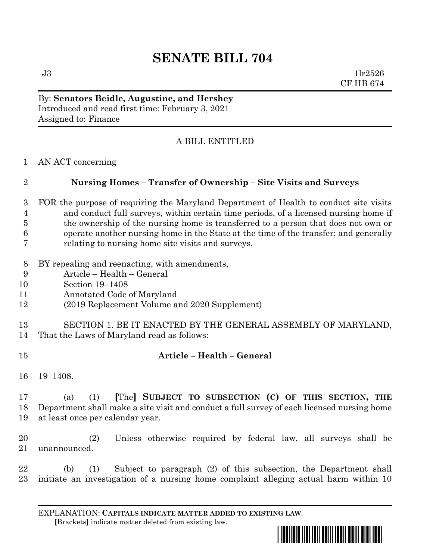# **SENATE BILL 704**

 $J3$  1lr2526 CF HB 674

By: **Senators Beidle, Augustine, and Hershey** Introduced and read first time: February 3, 2021 Assigned to: Finance

## A BILL ENTITLED

AN ACT concerning

## **Nursing Homes – Transfer of Ownership – Site Visits and Surveys**

- FOR the purpose of requiring the Maryland Department of Health to conduct site visits and conduct full surveys, within certain time periods, of a licensed nursing home if the ownership of the nursing home is transferred to a person that does not own or operate another nursing home in the State at the time of the transfer; and generally relating to nursing home site visits and surveys.
- BY repealing and reenacting, with amendments,
- Article Health General
- Section 19–1408
- Annotated Code of Maryland
- (2019 Replacement Volume and 2020 Supplement)
- SECTION 1. BE IT ENACTED BY THE GENERAL ASSEMBLY OF MARYLAND, That the Laws of Maryland read as follows:
- 

## **Article – Health – General**

19–1408.

## (a) (1) **[**The**] SUBJECT TO SUBSECTION (C) OF THIS SECTION, THE** Department shall make a site visit and conduct a full survey of each licensed nursing home at least once per calendar year.

 (2) Unless otherwise required by federal law, all surveys shall be unannounced.

 (b) (1) Subject to paragraph (2) of this subsection, the Department shall initiate an investigation of a nursing home complaint alleging actual harm within 10

EXPLANATION: **CAPITALS INDICATE MATTER ADDED TO EXISTING LAW**.  **[**Brackets**]** indicate matter deleted from existing law.